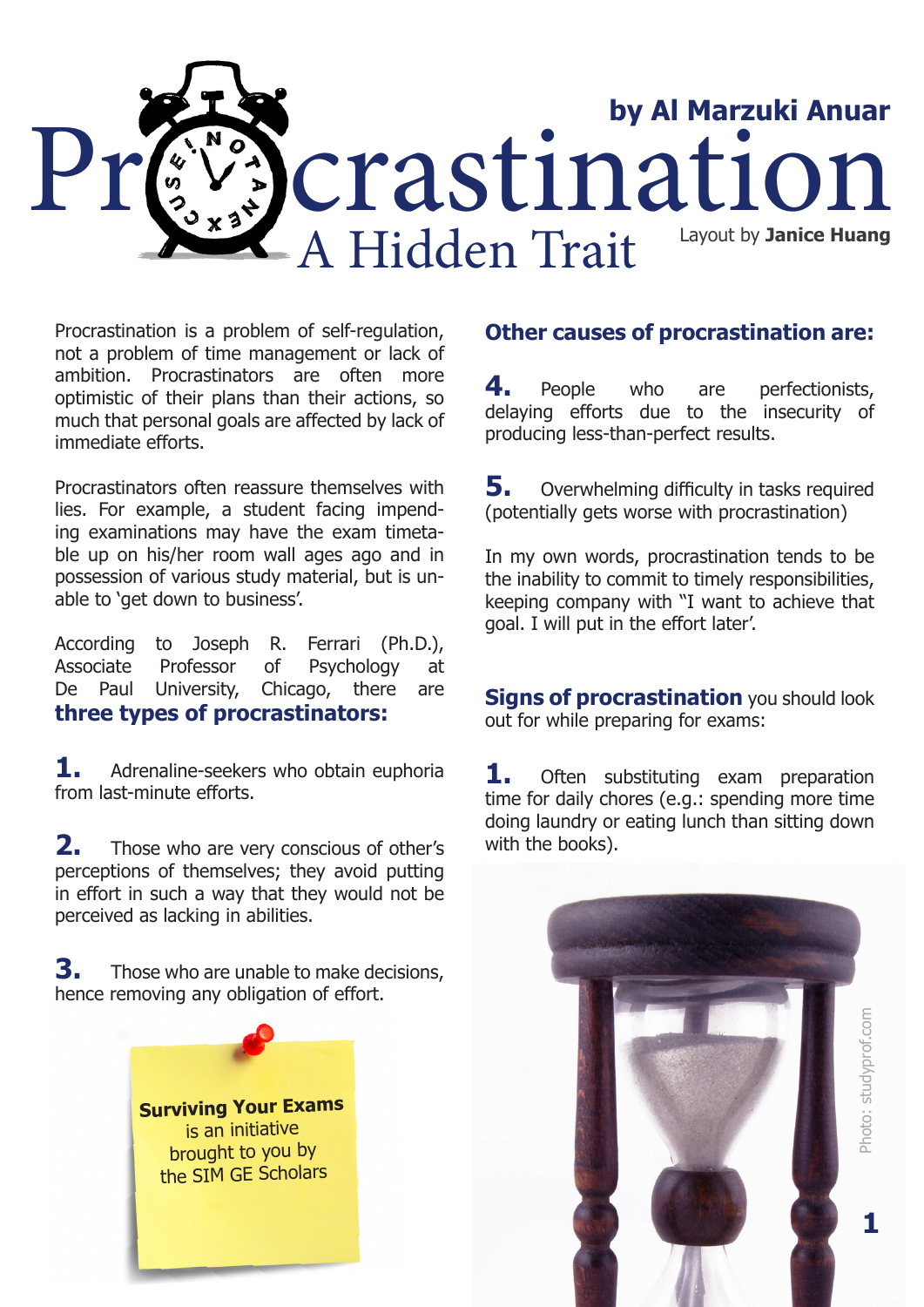

Procrastination is a problem of self-regulation, not a problem of time management or lack of ambition. Procrastinators are often more optimistic of their plans than their actions, so much that personal goals are affected by lack of immediate efforts.

Procrastinators often reassure themselves with lies. For example, a student facing impending examinations may have the exam timetable up on his/her room wall ages ago and in possession of various study material, but is unable to 'get down to business'.

According to Joseph R. Ferrari (Ph.D.), Associate Professor of Psychology at De Paul University, Chicago, there are **three types of procrastinators:**

**1.** Adrenaline-seekers who obtain euphoria from last-minute efforts.

**2.** Those who are very conscious of other's perceptions of themselves; they avoid putting in effort in such a way that they would not be perceived as lacking in abilities.

**3.** Those who are unable to make decisions, hence removing any obligation of effort.



## **Other causes of procrastination are:**

**4.** People who are perfectionists, delaying efforts due to the insecurity of producing less-than-perfect results.

**5.** Overwhelming difficulty in tasks required (potentially gets worse with procrastination)

In my own words, procrastination tends to be the inability to commit to timely responsibilities, keeping company with "I want to achieve that goal. I will put in the effort later'.

**Signs of procrastination** you should look out for while preparing for exams:

**1.** Often substituting exam preparation time for daily chores (e.g.: spending more time doing laundry or eating lunch than sitting down with the books).